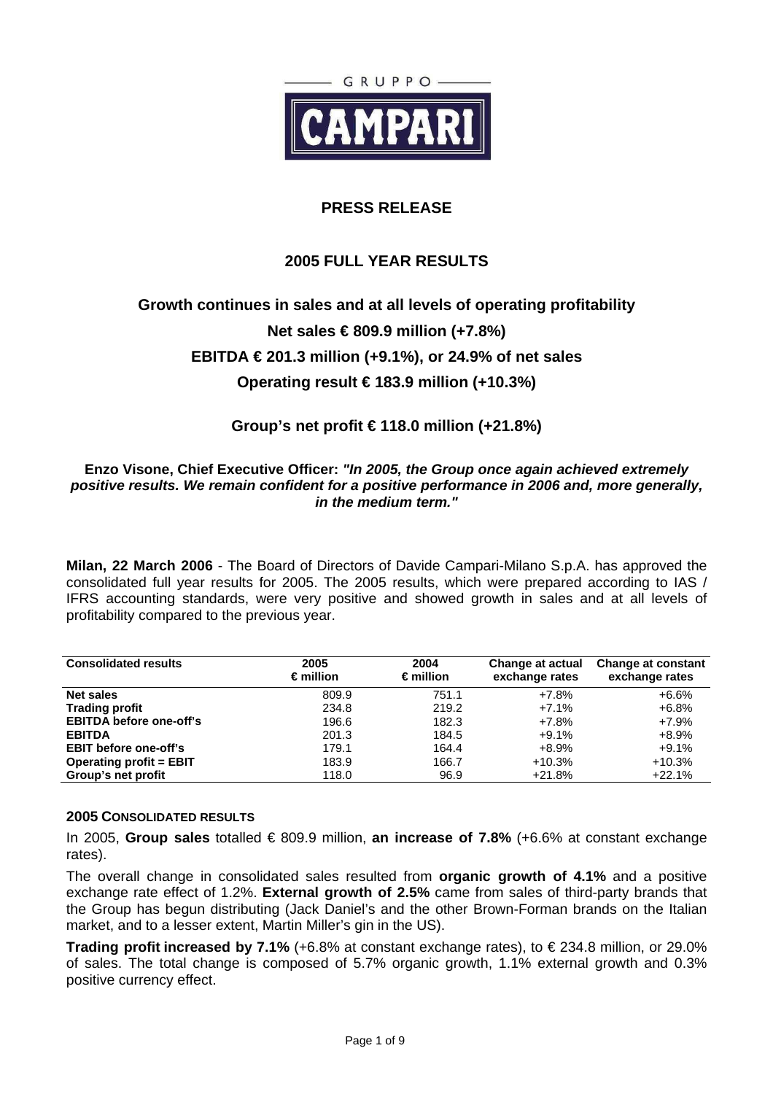

## **PRESS RELEASE**

## **2005 FULL YEAR RESULTS**

# **Growth continues in sales and at all levels of operating profitability Net sales € 809.9 million (+7.8%) EBITDA € 201.3 million (+9.1%), or 24.9% of net sales Operating result € 183.9 million (+10.3%)**

# **Group's net profit € 118.0 million (+21.8%)**

## **Enzo Visone, Chief Executive Officer: "In 2005, the Group once again achieved extremely positive results. We remain confident for a positive performance in 2006 and, more generally, in the medium term."**

**Milan, 22 March 2006** - The Board of Directors of Davide Campari-Milano S.p.A. has approved the consolidated full year results for 2005. The 2005 results, which were prepared according to IAS / IFRS accounting standards, were very positive and showed growth in sales and at all levels of profitability compared to the previous year.

| <b>Consolidated results</b>    | 2005<br>$\epsilon$ million | 2004<br>$\epsilon$ million | Change at actual<br>exchange rates | <b>Change at constant</b><br>exchange rates |
|--------------------------------|----------------------------|----------------------------|------------------------------------|---------------------------------------------|
| <b>Net sales</b>               | 809.9                      | 751.1                      | $+7.8%$                            | $+6.6%$                                     |
| <b>Trading profit</b>          | 234.8                      | 219.2                      | $+7.1%$                            | $+6.8%$                                     |
| <b>EBITDA before one-off's</b> | 196.6                      | 182.3                      | +7.8%                              | $+7.9%$                                     |
| <b>EBITDA</b>                  | 201.3                      | 184.5                      | $+9.1%$                            | $+8.9%$                                     |
| <b>EBIT before one-off's</b>   | 179.1                      | 164.4                      | +8.9%                              | $+9.1%$                                     |
| <b>Operating profit = EBIT</b> | 183.9                      | 166.7                      | $+10.3%$                           | $+10.3%$                                    |
| Group's net profit             | 118.0                      | 96.9                       | $+21.8%$                           | $+22.1%$                                    |

#### **2005 CONSOLIDATED RESULTS**

In 2005, **Group sales** totalled € 809.9 million, **an increase of 7.8%** (+6.6% at constant exchange rates).

The overall change in consolidated sales resulted from **organic growth of 4.1%** and a positive exchange rate effect of 1.2%. **External growth of 2.5%** came from sales of third-party brands that the Group has begun distributing (Jack Daniel's and the other Brown-Forman brands on the Italian market, and to a lesser extent, Martin Miller's gin in the US).

**Trading profit increased by 7.1%** (+6.8% at constant exchange rates), to € 234.8 million, or 29.0% of sales. The total change is composed of 5.7% organic growth, 1.1% external growth and 0.3% positive currency effect.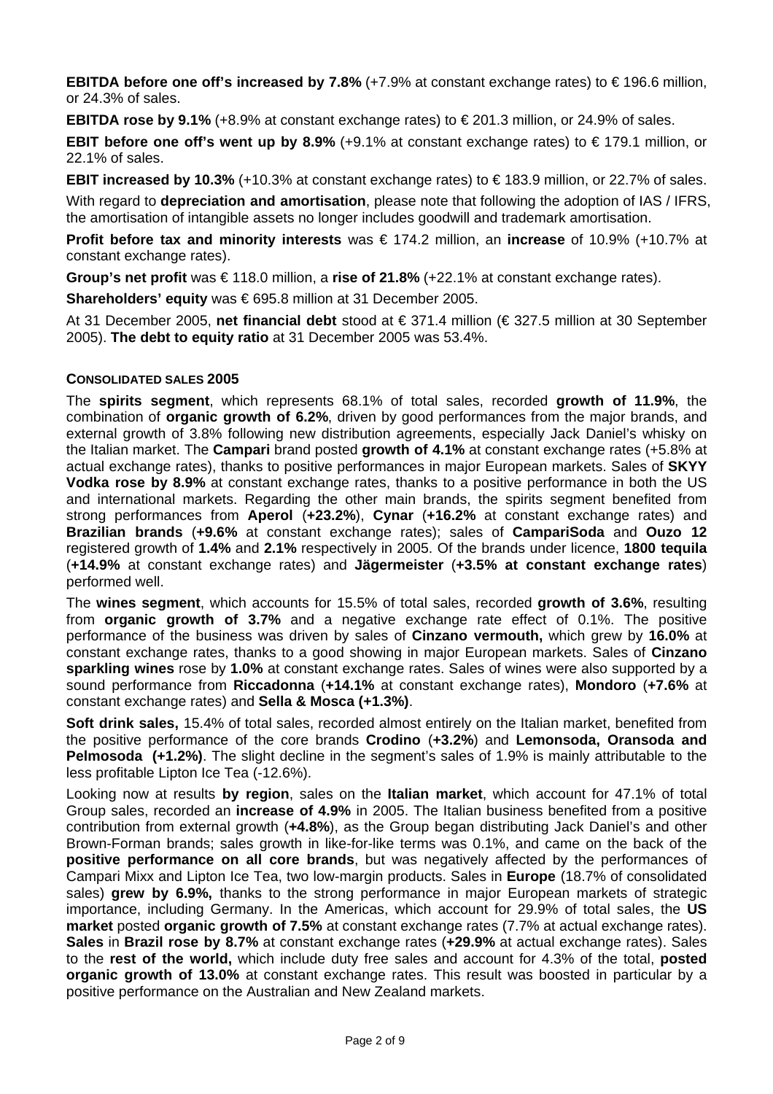**EBITDA before one off's increased by 7.8%** (+7.9% at constant exchange rates) to € 196.6 million, or 24.3% of sales.

**EBITDA rose by 9.1%** (+8.9% at constant exchange rates) to € 201.3 million, or 24.9% of sales.

**EBIT before one off's went up by 8.9%** (+9.1% at constant exchange rates) to € 179.1 million, or 22.1% of sales.

**EBIT increased by 10.3%** (+10.3% at constant exchange rates) to € 183.9 million, or 22.7% of sales.

With regard to **depreciation and amortisation**, please note that following the adoption of IAS / IFRS, the amortisation of intangible assets no longer includes goodwill and trademark amortisation.

**Profit before tax and minority interests** was € 174.2 million, an **increase** of 10.9% (+10.7% at constant exchange rates).

**Group's net profit** was € 118.0 million, a **rise of 21.8%** (+22.1% at constant exchange rates).

**Shareholders' equity** was € 695.8 million at 31 December 2005.

At 31 December 2005, **net financial debt** stood at € 371.4 million (€ 327.5 million at 30 September 2005). **The debt to equity ratio** at 31 December 2005 was 53.4%.

### **CONSOLIDATED SALES 2005**

The **spirits segment**, which represents 68.1% of total sales, recorded **growth of 11.9%**, the combination of **organic growth of 6.2%**, driven by good performances from the major brands, and external growth of 3.8% following new distribution agreements, especially Jack Daniel's whisky on the Italian market. The **Campari** brand posted **growth of 4.1%** at constant exchange rates (+5.8% at actual exchange rates), thanks to positive performances in major European markets. Sales of **SKYY Vodka rose by 8.9%** at constant exchange rates, thanks to a positive performance in both the US and international markets. Regarding the other main brands, the spirits segment benefited from strong performances from **Aperol** (**+23.2%**), **Cynar** (**+16.2%** at constant exchange rates) and **Brazilian brands** (**+9.6%** at constant exchange rates); sales of **CampariSoda** and **Ouzo 12** registered growth of **1.4%** and **2.1%** respectively in 2005. Of the brands under licence, **1800 tequila** (**+14.9%** at constant exchange rates) and **Jägermeister** (**+3.5% at constant exchange rates**) performed well.

The **wines segment**, which accounts for 15.5% of total sales, recorded **growth of 3.6%**, resulting from **organic growth of 3.7%** and a negative exchange rate effect of 0.1%. The positive performance of the business was driven by sales of **Cinzano vermouth,** which grew by **16.0%** at constant exchange rates, thanks to a good showing in major European markets. Sales of **Cinzano sparkling wines** rose by **1.0%** at constant exchange rates. Sales of wines were also supported by a sound performance from **Riccadonna** (**+14.1%** at constant exchange rates), **Mondoro** (**+7.6%** at constant exchange rates) and **Sella & Mosca (+1.3%)**.

**Soft drink sales,** 15.4% of total sales, recorded almost entirely on the Italian market, benefited from the positive performance of the core brands **Crodino** (**+3.2%**) and **Lemonsoda, Oransoda and Pelmosoda (+1.2%)**. The slight decline in the segment's sales of 1.9% is mainly attributable to the less profitable Lipton Ice Tea (-12.6%).

Looking now at results **by region**, sales on the **Italian market**, which account for 47.1% of total Group sales, recorded an **increase of 4.9%** in 2005. The Italian business benefited from a positive contribution from external growth (**+4.8%**), as the Group began distributing Jack Daniel's and other Brown-Forman brands; sales growth in like-for-like terms was 0.1%, and came on the back of the **positive performance on all core brands**, but was negatively affected by the performances of Campari Mixx and Lipton Ice Tea, two low-margin products. Sales in **Europe** (18.7% of consolidated sales) **grew by 6.9%,** thanks to the strong performance in major European markets of strategic importance, including Germany. In the Americas, which account for 29.9% of total sales, the **US market** posted **organic growth of 7.5%** at constant exchange rates (7.7% at actual exchange rates). **Sales** in **Brazil rose by 8.7%** at constant exchange rates (**+29.9%** at actual exchange rates). Sales to the **rest of the world,** which include duty free sales and account for 4.3% of the total, **posted organic growth of 13.0%** at constant exchange rates. This result was boosted in particular by a positive performance on the Australian and New Zealand markets.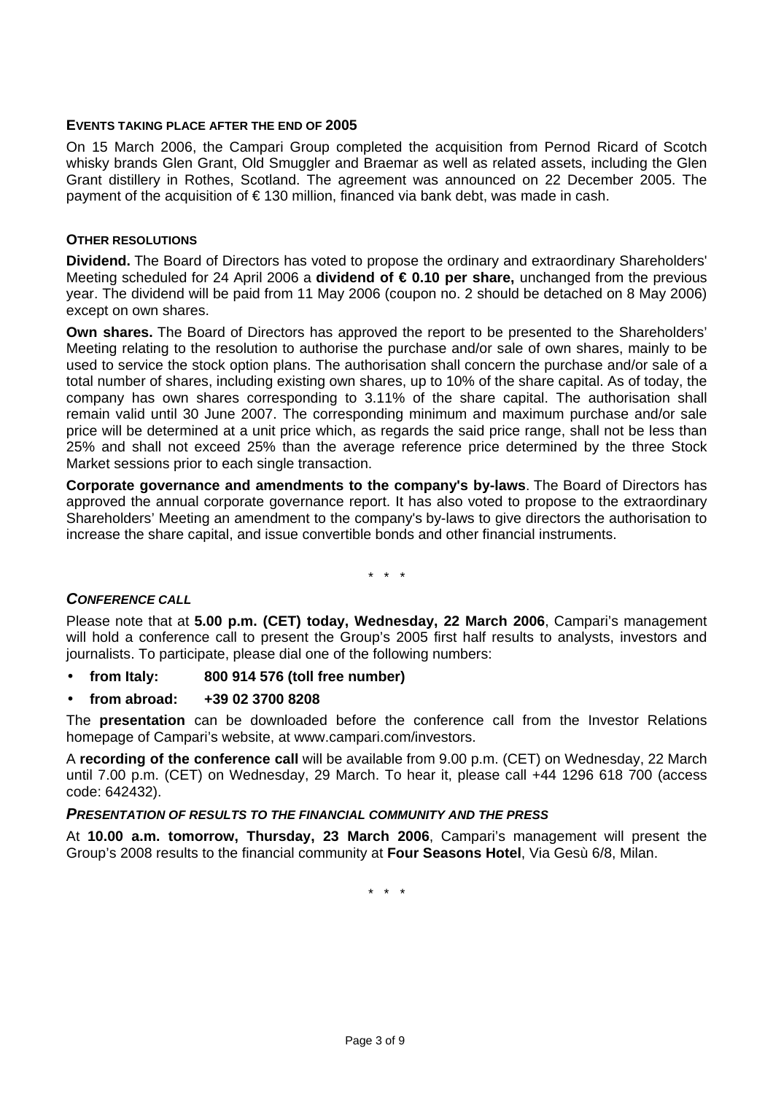## **EVENTS TAKING PLACE AFTER THE END OF 2005**

On 15 March 2006, the Campari Group completed the acquisition from Pernod Ricard of Scotch whisky brands Glen Grant, Old Smuggler and Braemar as well as related assets, including the Glen Grant distillery in Rothes, Scotland. The agreement was announced on 22 December 2005. The payment of the acquisition of  $\epsilon$  130 million, financed via bank debt, was made in cash.

#### **OTHER RESOLUTIONS**

**Dividend.** The Board of Directors has voted to propose the ordinary and extraordinary Shareholders' Meeting scheduled for 24 April 2006 a **dividend of € 0.10 per share,** unchanged from the previous year. The dividend will be paid from 11 May 2006 (coupon no. 2 should be detached on 8 May 2006) except on own shares.

**Own shares.** The Board of Directors has approved the report to be presented to the Shareholders' Meeting relating to the resolution to authorise the purchase and/or sale of own shares, mainly to be used to service the stock option plans. The authorisation shall concern the purchase and/or sale of a total number of shares, including existing own shares, up to 10% of the share capital. As of today, the company has own shares corresponding to 3.11% of the share capital. The authorisation shall remain valid until 30 June 2007. The corresponding minimum and maximum purchase and/or sale price will be determined at a unit price which, as regards the said price range, shall not be less than 25% and shall not exceed 25% than the average reference price determined by the three Stock Market sessions prior to each single transaction.

**Corporate governance and amendments to the company's by-laws**. The Board of Directors has approved the annual corporate governance report. It has also voted to propose to the extraordinary Shareholders' Meeting an amendment to the company's by-laws to give directors the authorisation to increase the share capital, and issue convertible bonds and other financial instruments.

\* \* \*

## **CONFERENCE CALL**

Please note that at **5.00 p.m. (CET) today, Wednesday, 22 March 2006**, Campari's management will hold a conference call to present the Group's 2005 first half results to analysts, investors and journalists. To participate, please dial one of the following numbers:

- **from Italy: 800 914 576 (toll free number)**
- **from abroad: +39 02 3700 8208**

The **presentation** can be downloaded before the conference call from the Investor Relations homepage of Campari's website, at www.campari.com/investors.

A **recording of the conference call** will be available from 9.00 p.m. (CET) on Wednesday, 22 March until 7.00 p.m. (CET) on Wednesday, 29 March. To hear it, please call +44 1296 618 700 (access code: 642432).

#### **PRESENTATION OF RESULTS TO THE FINANCIAL COMMUNITY AND THE PRESS**

At **10.00 a.m. tomorrow, Thursday, 23 March 2006**, Campari's management will present the Group's 2008 results to the financial community at **Four Seasons Hotel**, Via Gesù 6/8, Milan.

\* \* \*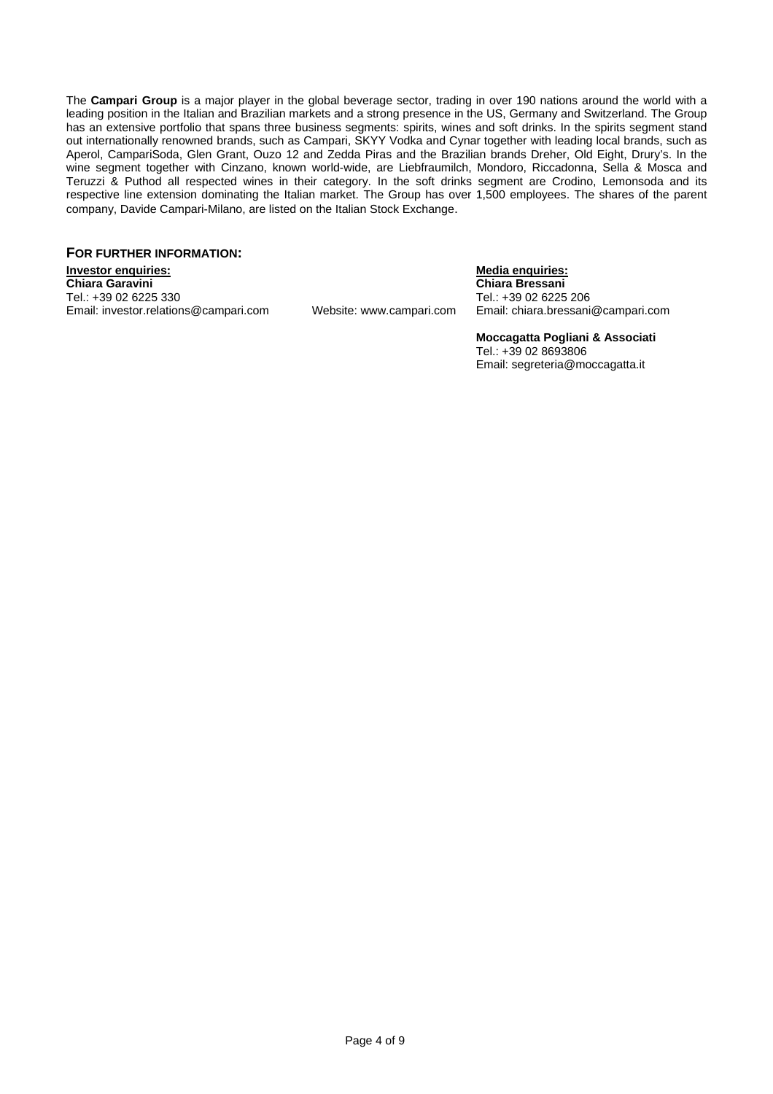The **Campari Group** is a major player in the global beverage sector, trading in over 190 nations around the world with a leading position in the Italian and Brazilian markets and a strong presence in the US, Germany and Switzerland. The Group has an extensive portfolio that spans three business segments: spirits, wines and soft drinks. In the spirits segment stand out internationally renowned brands, such as Campari, SKYY Vodka and Cynar together with leading local brands, such as Aperol, CampariSoda, Glen Grant, Ouzo 12 and Zedda Piras and the Brazilian brands Dreher, Old Eight, Drury's. In the wine segment together with Cinzano, known world-wide, are Liebfraumilch, Mondoro, Riccadonna, Sella & Mosca and Teruzzi & Puthod all respected wines in their category. In the soft drinks segment are Crodino, Lemonsoda and its respective line extension dominating the Italian market. The Group has over 1,500 employees. The shares of the parent company, Davide Campari-Milano, are listed on the Italian Stock Exchange.

#### **FOR FURTHER INFORMATION:**

**Investor enquiries:** Media enquiries: Media enquiries: Media enquiries: Media enquiries: Media enquiries: Media enquiries: Media enquiries: Media enquiries: Media enquiries: Media enquiries: Media enquiries: Media enquiri **Chiara Garavini Chiara Bressani**  Tel.: +39 02 6225 330<br>Email: investor.relations@campari.com Website: www.campari.com Email: chiara.bressani

Website: www.campari.com Email: chiara.bressani@campari.com

**Moccagatta Pogliani & Associati**  Tel.: +39 02 8693806 Email: segreteria@moccagatta.it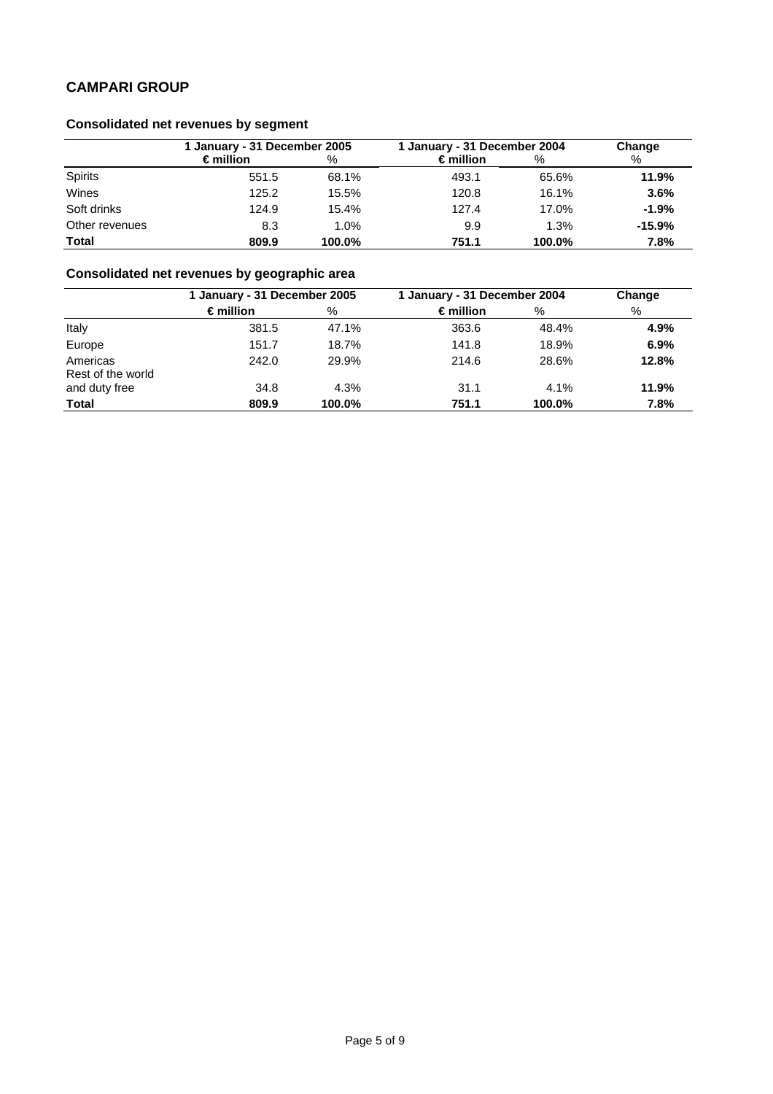## **Consolidated net revenues by segment**

|                | 1 January - 31 December 2005 |         | 1 January - 31 December 2004 |        | Change   |  |
|----------------|------------------------------|---------|------------------------------|--------|----------|--|
|                | $\epsilon$ million           | $\%$    | $\epsilon$ million           | %      | %        |  |
| <b>Spirits</b> | 551.5                        | 68.1%   | 493.1                        | 65.6%  | 11.9%    |  |
| Wines          | 125.2                        | 15.5%   | 120.8                        | 16.1%  | 3.6%     |  |
| Soft drinks    | 124.9                        | 15.4%   | 127.4                        | 17.0%  | $-1.9%$  |  |
| Other revenues | 8.3                          | $1.0\%$ | 9.9                          | 1.3%   | $-15.9%$ |  |
| <b>Total</b>   | 809.9                        | 100.0%  | 751.1                        | 100.0% | 7.8%     |  |

# **Consolidated net revenues by geographic area**

|                               | 1 January - 31 December 2005 |        | 1 January - 31 December 2004 |        | Change |  |
|-------------------------------|------------------------------|--------|------------------------------|--------|--------|--|
|                               | $\epsilon$ million           | %      | $\epsilon$ million           | %      | %      |  |
| Italy                         | 381.5                        | 47.1%  | 363.6                        | 48.4%  | 4.9%   |  |
| Europe                        | 151.7                        | 18.7%  | 141.8                        | 18.9%  | 6.9%   |  |
| Americas<br>Rest of the world | 242.0                        | 29.9%  | 214.6                        | 28.6%  | 12.8%  |  |
| and duty free                 | 34.8                         | 4.3%   | 31.1                         | 4.1%   | 11.9%  |  |
| <b>Total</b>                  | 809.9                        | 100.0% | 751.1                        | 100.0% | 7.8%   |  |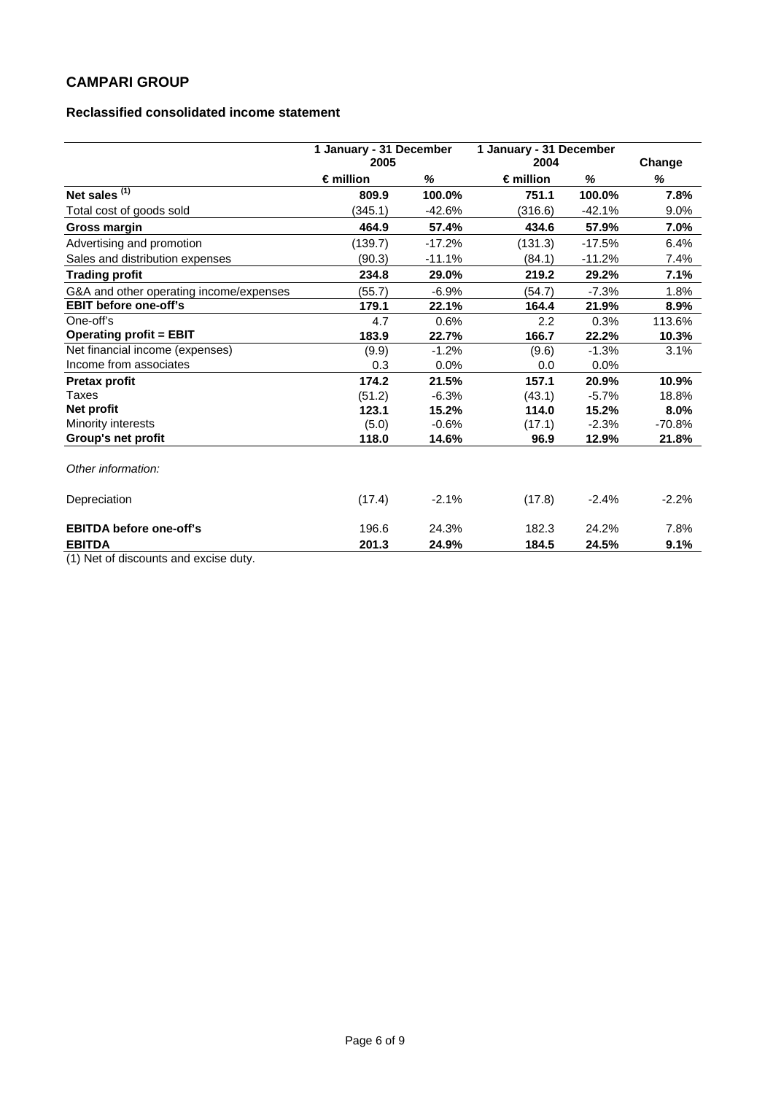### **Reclassified consolidated income statement**

|                                         | 1 January - 31 December<br>2005 |          | 1 January - 31 December<br>2004 |          | Change   |
|-----------------------------------------|---------------------------------|----------|---------------------------------|----------|----------|
|                                         | $\epsilon$ million              | %        | $\epsilon$ million              | %        | %        |
| Net sales $(1)$                         | 809.9                           | 100.0%   | 751.1                           | 100.0%   | 7.8%     |
| Total cost of goods sold                | (345.1)                         | $-42.6%$ | (316.6)                         | $-42.1%$ | 9.0%     |
| Gross margin                            | 464.9                           | 57.4%    | 434.6                           | 57.9%    | 7.0%     |
| Advertising and promotion               | (139.7)                         | $-17.2%$ | (131.3)                         | $-17.5%$ | 6.4%     |
| Sales and distribution expenses         | (90.3)                          | $-11.1%$ | (84.1)                          | $-11.2%$ | 7.4%     |
| <b>Trading profit</b>                   | 234.8                           | 29.0%    | 219.2                           | 29.2%    | 7.1%     |
| G&A and other operating income/expenses | (55.7)                          | $-6.9%$  | (54.7)                          | $-7.3%$  | 1.8%     |
| <b>EBIT before one-off's</b>            | 179.1                           | 22.1%    | 164.4                           | 21.9%    | 8.9%     |
| One-off's                               | 4.7                             | 0.6%     | 2.2                             | 0.3%     | 113.6%   |
| <b>Operating profit = EBIT</b>          | 183.9                           | 22.7%    | 166.7                           | 22.2%    | 10.3%    |
| Net financial income (expenses)         | (9.9)                           | $-1.2%$  | (9.6)                           | $-1.3%$  | 3.1%     |
| Income from associates                  | 0.3                             | 0.0%     | 0.0                             | 0.0%     |          |
| <b>Pretax profit</b>                    | 174.2                           | 21.5%    | 157.1                           | 20.9%    | 10.9%    |
| Taxes                                   | (51.2)                          | $-6.3%$  | (43.1)                          | $-5.7%$  | 18.8%    |
| Net profit                              | 123.1                           | 15.2%    | 114.0                           | 15.2%    | 8.0%     |
| Minority interests                      | (5.0)                           | $-0.6%$  | (17.1)                          | $-2.3%$  | $-70.8%$ |
| Group's net profit                      | 118.0                           | 14.6%    | 96.9                            | 12.9%    | 21.8%    |
| Other information:                      |                                 |          |                                 |          |          |
| Depreciation                            | (17.4)                          | $-2.1%$  | (17.8)                          | $-2.4%$  | $-2.2%$  |
| <b>EBITDA before one-off's</b>          | 196.6                           | 24.3%    | 182.3                           | 24.2%    | 7.8%     |
| <b>EBITDA</b>                           | 201.3                           | 24.9%    | 184.5                           | 24.5%    | 9.1%     |

(1) Net of discounts and excise duty.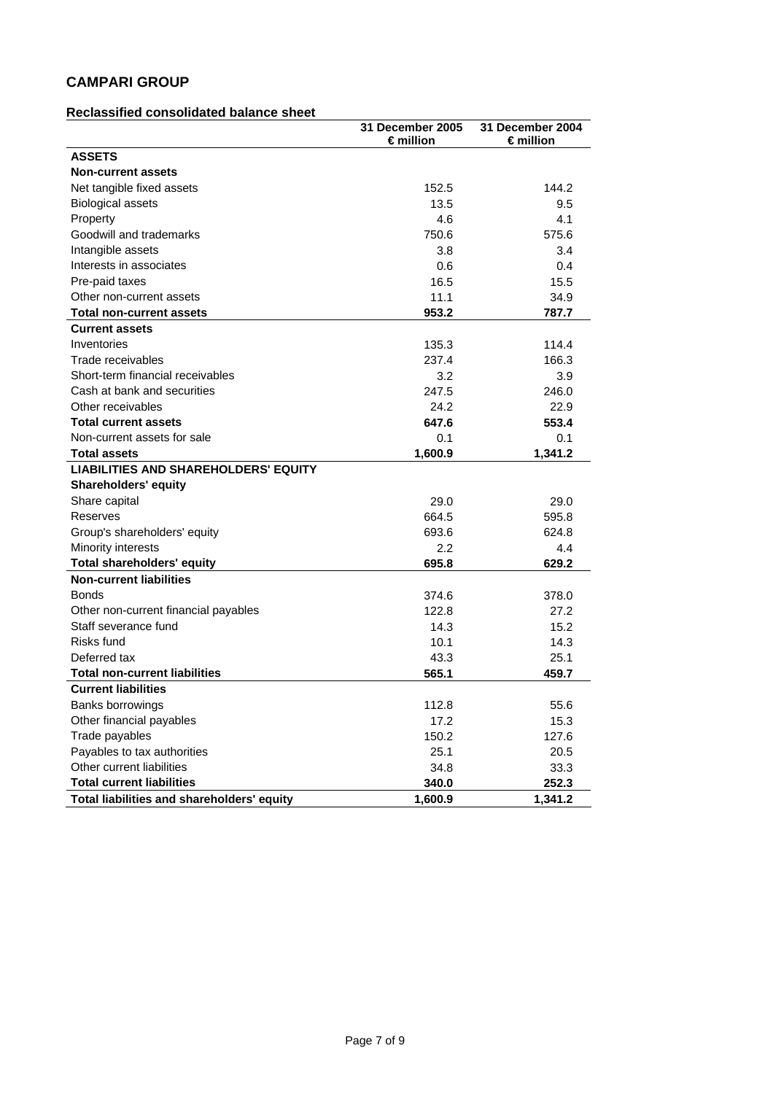#### **Reclassified consolidated balance sheet**

|                                             | 31 December 2005   | 31 December 2004   |
|---------------------------------------------|--------------------|--------------------|
|                                             | $\epsilon$ million | $\epsilon$ million |
| <b>ASSETS</b>                               |                    |                    |
| <b>Non-current assets</b>                   |                    |                    |
| Net tangible fixed assets                   | 152.5              | 144.2              |
| <b>Biological assets</b>                    | 13.5               | 9.5                |
| Property                                    | 4.6                | 4.1                |
| Goodwill and trademarks                     | 750.6              | 575.6              |
| Intangible assets                           | 3.8                | 3.4                |
| Interests in associates                     | 0.6                | 0.4                |
| Pre-paid taxes                              | 16.5               | 15.5               |
| Other non-current assets                    | 11.1               | 34.9               |
| <b>Total non-current assets</b>             | 953.2              | 787.7              |
| <b>Current assets</b>                       |                    |                    |
| Inventories                                 | 135.3              | 114.4              |
| Trade receivables                           | 237.4              | 166.3              |
| Short-term financial receivables            | 3.2                | 3.9                |
| Cash at bank and securities                 | 247.5              | 246.0              |
| Other receivables                           | 24.2               | 22.9               |
| <b>Total current assets</b>                 | 647.6              | 553.4              |
| Non-current assets for sale                 | 0.1                | 0.1                |
| <b>Total assets</b>                         | 1,600.9            | 1,341.2            |
| <b>LIABILITIES AND SHAREHOLDERS' EQUITY</b> |                    |                    |
| <b>Shareholders' equity</b>                 |                    |                    |
| Share capital                               | 29.0               | 29.0               |
| Reserves                                    | 664.5              | 595.8              |
| Group's shareholders' equity                | 693.6              | 624.8              |
| Minority interests                          | 2.2                | 4.4                |
| <b>Total shareholders' equity</b>           | 695.8              | 629.2              |
| <b>Non-current liabilities</b>              |                    |                    |
| <b>Bonds</b>                                | 374.6              | 378.0              |
| Other non-current financial payables        | 122.8              | 27.2               |
| Staff severance fund                        | 14.3               | 15.2               |
| Risks fund                                  | 10.1               | 14.3               |
| Deferred tax                                | 43.3               | 25.1               |
| <b>Total non-current liabilities</b>        | 565.1              | 459.7              |
| <b>Current liabilities</b>                  |                    |                    |
| Banks borrowings                            | 112.8              | 55.6               |
| Other financial payables                    | 17.2               | 15.3               |
| Trade payables                              | 150.2              | 127.6              |
| Payables to tax authorities                 | 25.1               | 20.5               |
| Other current liabilities                   | 34.8               | 33.3               |
| <b>Total current liabilities</b>            | 340.0              | 252.3              |
| Total liabilities and shareholders' equity  | 1,600.9            | 1,341.2            |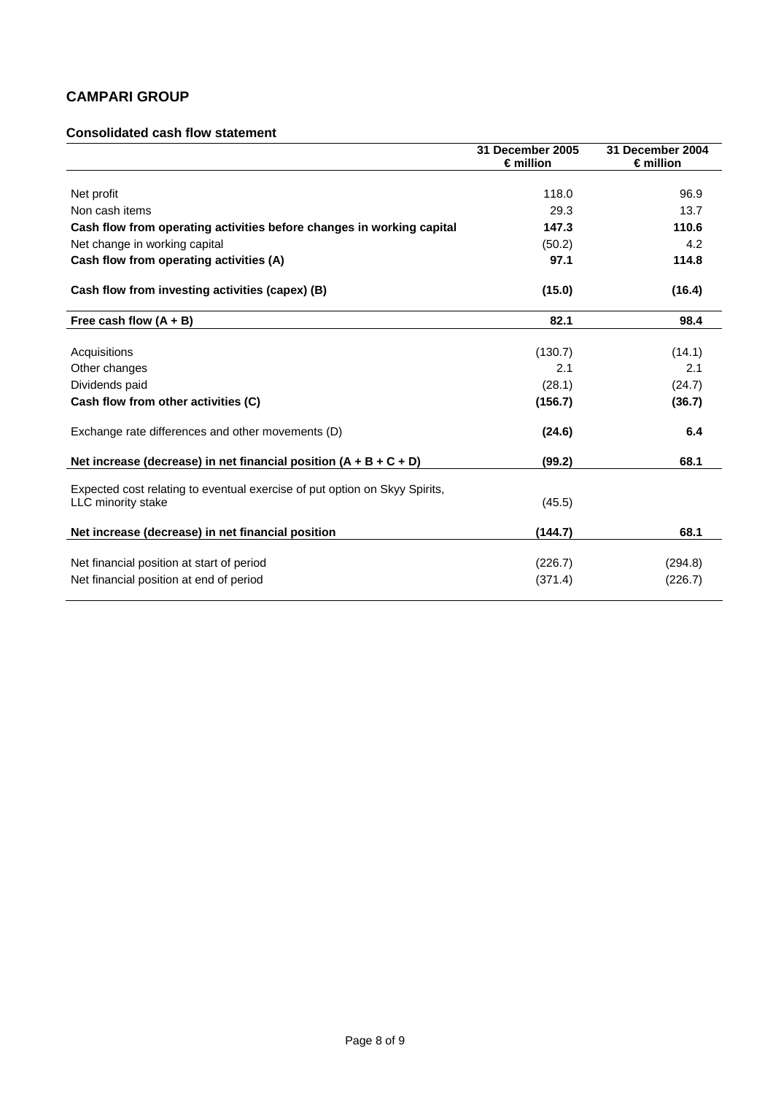### **Consolidated cash flow statement**

|                                                                                                         | 31 December 2005<br>$\epsilon$ million | 31 December 2004<br>$\epsilon$ million |
|---------------------------------------------------------------------------------------------------------|----------------------------------------|----------------------------------------|
|                                                                                                         |                                        |                                        |
| Net profit                                                                                              | 118.0                                  | 96.9                                   |
| Non cash items                                                                                          | 29.3                                   | 13.7                                   |
| Cash flow from operating activities before changes in working capital                                   | 147.3                                  | 110.6                                  |
| Net change in working capital                                                                           | (50.2)                                 | 4.2                                    |
| Cash flow from operating activities (A)                                                                 | 97.1                                   | 114.8                                  |
| Cash flow from investing activities (capex) (B)                                                         | (15.0)                                 | (16.4)                                 |
| Free cash flow $(A + B)$                                                                                | 82.1                                   | 98.4                                   |
| Acquisitions                                                                                            | (130.7)                                | (14.1)                                 |
| Other changes                                                                                           | 2.1                                    | 2.1                                    |
| Dividends paid                                                                                          | (28.1)                                 | (24.7)                                 |
| Cash flow from other activities (C)                                                                     | (156.7)                                | (36.7)                                 |
| Exchange rate differences and other movements (D)                                                       | (24.6)                                 | 6.4                                    |
| Net increase (decrease) in net financial position $(A + B + C + D)$                                     | (99.2)                                 | 68.1                                   |
| Expected cost relating to eventual exercise of put option on Skyy Spirits.<br><b>LLC</b> minority stake | (45.5)                                 |                                        |
| Net increase (decrease) in net financial position                                                       | (144.7)                                | 68.1                                   |
| Net financial position at start of period                                                               | (226.7)                                | (294.8)                                |
| Net financial position at end of period                                                                 | (371.4)                                | (226.7)                                |
|                                                                                                         |                                        |                                        |